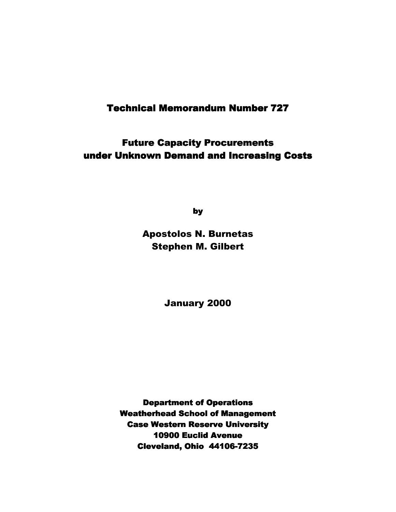# **Technical Memorandum Number 727**

**Future Capacity Procurements** under Unknown Demand and Increasing Costs

by

Apostolos N. Burnetas Stephen M. Gilbert

January 2000

**Department of Operations Weatherhead School of Management Case Western Reserve University** 10900 Euclid Avenue Cleveland, Ohio 44106-7235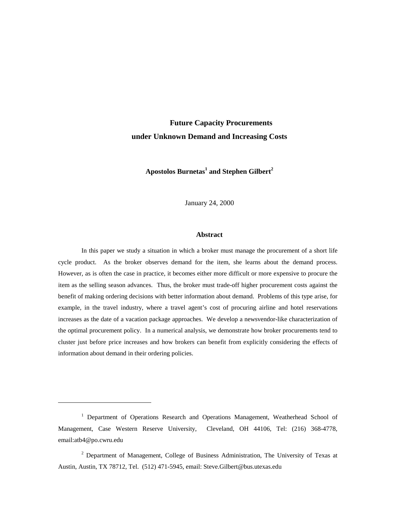# **Future Capacity Procurements under Unknown Demand and Increasing Costs**

**Apostolos Burnetas<sup>1</sup> and Stephen Gilbert<sup>2</sup>**

January 24, 2000

#### **Abstract**

In this paper we study a situation in which a broker must manage the procurement of a short life cycle product. As the broker observes demand for the item, she learns about the demand process. However, as is often the case in practice, it becomes either more difficult or more expensive to procure the item as the selling season advances. Thus, the broker must trade-off higher procurement costs against the benefit of making ordering decisions with better information about demand. Problems of this type arise, for example, in the travel industry, where a travel agent's cost of procuring airline and hotel reservations increases as the date of a vacation package approaches. We develop a newsvendor-like characterization of the optimal procurement policy. In a numerical analysis, we demonstrate how broker procurements tend to cluster just before price increases and how brokers can benefit from explicitly considering the effects of information about demand in their ordering policies.

-

<sup>&</sup>lt;sup>1</sup> Department of Operations Research and Operations Management, Weatherhead School of Management, Case Western Reserve University, Cleveland, OH 44106, Tel: (216) 368-4778, email:atb4@po.cwru.edu

 $2$  Department of Management, College of Business Administration, The University of Texas at Austin, Austin, TX 78712, Tel. (512) 471-5945, email: Steve.Gilbert@bus.utexas.edu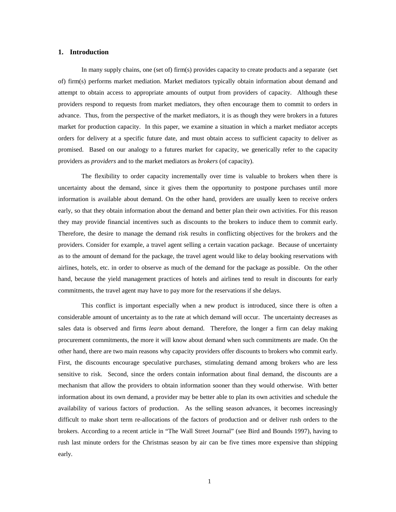# **1. Introduction**

In many supply chains, one (set of) firm(s) provides capacity to create products and a separate (set of) firm(s) performs market mediation. Market mediators typically obtain information about demand and attempt to obtain access to appropriate amounts of output from providers of capacity. Although these providers respond to requests from market mediators, they often encourage them to commit to orders in advance. Thus, from the perspective of the market mediators, it is as though they were brokers in a futures market for production capacity. In this paper, we examine a situation in which a market mediator accepts orders for delivery at a specific future date, and must obtain access to sufficient capacity to deliver as promised. Based on our analogy to a futures market for capacity, we generically refer to the capacity providers as *providers* and to the market mediators as *brokers* (of capacity).

The flexibility to order capacity incrementally over time is valuable to brokers when there is uncertainty about the demand, since it gives them the opportunity to postpone purchases until more information is available about demand. On the other hand, providers are usually keen to receive orders early, so that they obtain information about the demand and better plan their own activities. For this reason they may provide financial incentives such as discounts to the brokers to induce them to commit early. Therefore, the desire to manage the demand risk results in conflicting objectives for the brokers and the providers. Consider for example, a travel agent selling a certain vacation package. Because of uncertainty as to the amount of demand for the package, the travel agent would like to delay booking reservations with airlines, hotels, etc. in order to observe as much of the demand for the package as possible. On the other hand, because the yield management practices of hotels and airlines tend to result in discounts for early commitments, the travel agent may have to pay more for the reservations if she delays.

This conflict is important especially when a new product is introduced, since there is often a considerable amount of uncertainty as to the rate at which demand will occur. The uncertainty decreases as sales data is observed and firms *learn* about demand. Therefore, the longer a firm can delay making procurement commitments, the more it will know about demand when such commitments are made. On the other hand, there are two main reasons why capacity providers offer discounts to brokers who commit early. First, the discounts encourage speculative purchases, stimulating demand among brokers who are less sensitive to risk. Second, since the orders contain information about final demand, the discounts are a mechanism that allow the providers to obtain information sooner than they would otherwise. With better information about its own demand, a provider may be better able to plan its own activities and schedule the availability of various factors of production. As the selling season advances, it becomes increasingly difficult to make short term re-allocations of the factors of production and or deliver rush orders to the brokers. According to a recent article in "The Wall Street Journal" (see Bird and Bounds 1997), having to rush last minute orders for the Christmas season by air can be five times more expensive than shipping early.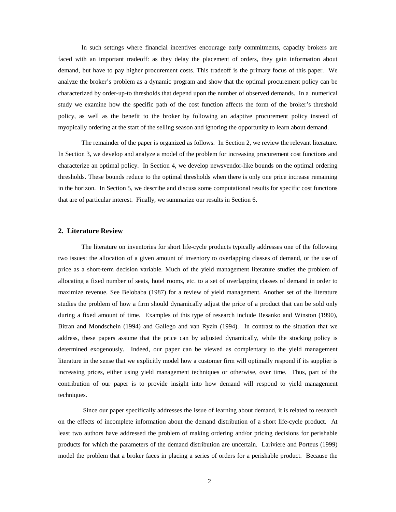In such settings where financial incentives encourage early commitments, capacity brokers are faced with an important tradeoff: as they delay the placement of orders, they gain information about demand, but have to pay higher procurement costs. This tradeoff is the primary focus of this paper. We analyze the broker's problem as a dynamic program and show that the optimal procurement policy can be characterized by order-up-to thresholds that depend upon the number of observed demands. In a numerical study we examine how the specific path of the cost function affects the form of the broker's threshold policy, as well as the benefit to the broker by following an adaptive procurement policy instead of myopically ordering at the start of the selling season and ignoring the opportunity to learn about demand.

The remainder of the paper is organized as follows. In Section 2, we review the relevant literature. In Section 3, we develop and analyze a model of the problem for increasing procurement cost functions and characterize an optimal policy. In Section 4, we develop newsvendor-like bounds on the optimal ordering thresholds. These bounds reduce to the optimal thresholds when there is only one price increase remaining in the horizon. In Section 5, we describe and discuss some computational results for specific cost functions that are of particular interest. Finally, we summarize our results in Section 6.

# **2. Literature Review**

The literature on inventories for short life-cycle products typically addresses one of the following two issues: the allocation of a given amount of inventory to overlapping classes of demand, or the use of price as a short-term decision variable. Much of the yield management literature studies the problem of allocating a fixed number of seats, hotel rooms, etc. to a set of overlapping classes of demand in order to maximize revenue. See Belobaba (1987) for a review of yield management. Another set of the literature studies the problem of how a firm should dynamically adjust the price of a product that can be sold only during a fixed amount of time. Examples of this type of research include Besanko and Winston (1990), Bitran and Mondschein (1994) and Gallego and van Ryzin (1994). In contrast to the situation that we address, these papers assume that the price can by adjusted dynamically, while the stocking policy is determined exogenously. Indeed, our paper can be viewed as complentary to the yield management literature in the sense that we explicitly model how a customer firm will optimally respond if its supplier is increasing prices, either using yield management techniques or otherwise, over time. Thus, part of the contribution of our paper is to provide insight into how demand will respond to yield management techniques.

 Since our paper specifically addresses the issue of learning about demand, it is related to research on the effects of incomplete information about the demand distribution of a short life-cycle product. At least two authors have addressed the problem of making ordering and/or pricing decisions for perishable products for which the parameters of the demand distribution are uncertain. Lariviere and Porteus (1999) model the problem that a broker faces in placing a series of orders for a perishable product. Because the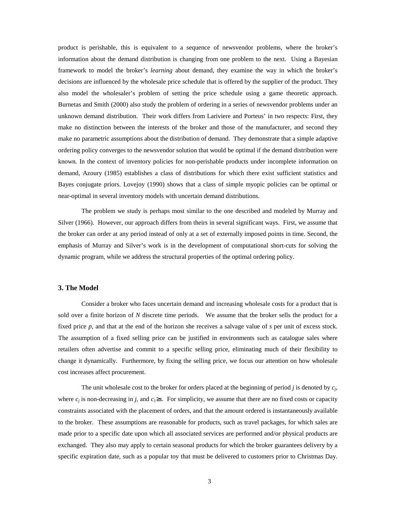product is perishable, this is equivalent to a sequence of newsvendor problems, where the broker's information about the demand distribution is changing from one problem to the next. Using a Bayesian framework to model the broker's *learning* about demand, they examine the way in which the broker's decisions are influenced by the wholesale price schedule that is offered by the supplier of the product. They also model the wholesaler's problem of setting the price schedule using a game theoretic approach. Burnetas and Smith (2000) also study the problem of ordering in a series of newsvendor problems under an unknown demand distribution. Their work differs from Lariviere and Porteus' in two respects: First, they make no distinction between the interests of the broker and those of the manufacturer, and second they make no parametric assumptions about the distribution of demand. They demonstrate that a simple adaptive ordering policy converges to the newsvendor solution that would be optimal if the demand distribution were known. In the context of inventory policies for non-perishable products under incomplete information on demand, Azoury (1985) establishes a class of distributions for which there exist sufficient statistics and Bayes conjugate priors. Lovejoy (1990) shows that a class of simple myopic policies can be optimal or near-optimal in several inventory models with uncertain demand distributions.

The problem we study is perhaps most similar to the one described and modeled by Murray and Silver (1966). However, our approach differs from theirs in several significant ways. First, we assume that the broker can order at any period instead of only at a set of externally imposed points in time. Second, the emphasis of Murray and Silver's work is in the development of computational short-cuts for solving the dynamic program, while we address the structural properties of the optimal ordering policy.

# **3. The Model**

Consider a broker who faces uncertain demand and increasing wholesale costs for a product that is sold over a finite horizon of *N* discrete time periods. We assume that the broker sells the product for a fixed price *p*, and that at the end of the horizon she receives a salvage value of *s* per unit of excess stock. The assumption of a fixed selling price can be justified in environments such as catalogue sales where retailers often advertise and commit to a specific selling price, eliminating much of their flexibility to change it dynamically. Furthermore, by fixing the selling price, we focus our attention on how wholesale cost increases affect procurement.

The unit wholesale cost to the broker for orders placed at the beginning of period *j* is denoted by *cj*, where  $c_i$  is non-decreasing in *j*, and  $c_1 \geq s$ . For simplicity, we assume that there are no fixed costs or capacity constraints associated with the placement of orders, and that the amount ordered is instantaneously available to the broker. These assumptions are reasonable for products, such as travel packages, for which sales are made prior to a specific date upon which all associated services are performed and/or physical products are exchanged. They also may apply to certain seasonal products for which the broker guarantees delivery by a specific expiration date, such as a popular toy that must be delivered to customers prior to Christmas Day.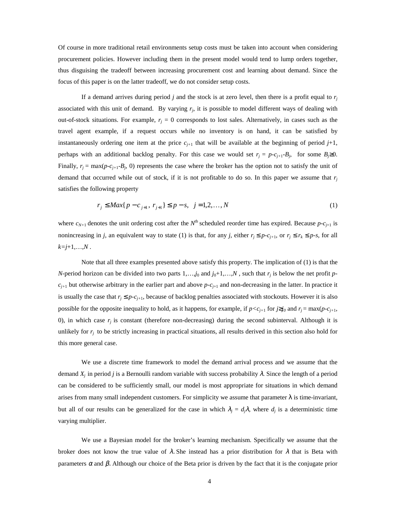Of course in more traditional retail environments setup costs must be taken into account when considering procurement policies. However including them in the present model would tend to lump orders together, thus disguising the tradeoff between increasing procurement cost and learning about demand. Since the focus of this paper is on the latter tradeoff, we do not consider setup costs.

If a demand arrives during period *j* and the stock is at zero level, then there is a profit equal to  $r_i$ associated with this unit of demand. By varying *rj*, it is possible to model different ways of dealing with out-of-stock situations. For example,  $r_j = 0$  corresponds to lost sales. Alternatively, in cases such as the travel agent example, if a request occurs while no inventory is on hand, it can be satisfied by instantaneously ordering one item at the price  $c_{i+1}$  that will be available at the beginning of period  $j+1$ , perhaps with an additional backlog penalty. For this case we would set  $r_j = p-c_{j+1}-B_j$ , for some  $B_j \ge 0$ . Finally,  $r_i = \max(p-c_{i+1}-B_i, 0)$  represents the case where the broker has the option not to satisfy the unit of demand that occurred while out of stock, if it is not profitable to do so. In this paper we assume that  $r_i$ satisfies the following property

$$
r_j \leq Max\{p - c_{j+1}, r_{j+1}\} \leq p - s, \quad j = 1, 2, ..., N
$$
 (1)

where  $c_{N+1}$  denotes the unit ordering cost after the  $N^{\text{th}}$  scheduled reorder time has expired. Because  $p-c_{i+1}$  is nonincreasing in *j*, an equivalent way to state (1) is that, for any *j*, either  $r_i \leq p-c_{i+1}$ , or  $r_i \leq r_k \leq p-s$ , for all  $k = j + 1, \ldots, N$ .

Note that all three examples presented above satisfy this property. The implication of (1) is that the *N*-period horizon can be divided into two parts  $1,...,j_0$  and  $j_0+1,...,N$ , such that  $r_j$  is below the net profit *p* $c_{j+1}$  but otherwise arbitrary in the earlier part and above  $p-c_{j+1}$  and non-decreasing in the latter. In practice it is usually the case that  $r_j \leq p-c_{j+1}$ , because of backlog penalties associated with stockouts. However it is also possible for the opposite inequality to hold, as it happens, for example, if  $p < c_{i+1}$  for  $j \geq j_0$  and  $r_i = \max(p-c_{i+1}, p_i)$ 0), in which case  $r_i$  is constant (therefore non-decreasing) during the second subinterval. Although it is unlikely for  $r_i$  to be strictly increasing in practical situations, all results derived in this section also hold for this more general case.

We use a discrete time framework to model the demand arrival process and we assume that the demand  $X_i$  in period *j* is a Bernoulli random variable with success probability  $\lambda$ . Since the length of a period can be considered to be sufficiently small, our model is most appropriate for situations in which demand arises from many small independent customers. For simplicity we assume that parameter  $\lambda$  is time-invariant, but all of our results can be generalized for the case in which  $\lambda_i = d_i \lambda$ , where  $d_i$  is a deterministic time varying multiplier.

We use a Bayesian model for the broker's learning mechanism. Specifically we assume that the broker does not know the true value of  $\lambda$ . She instead has a prior distribution for  $\lambda$  that is Beta with parameters  $\alpha$  and  $\beta$ . Although our choice of the Beta prior is driven by the fact that it is the conjugate prior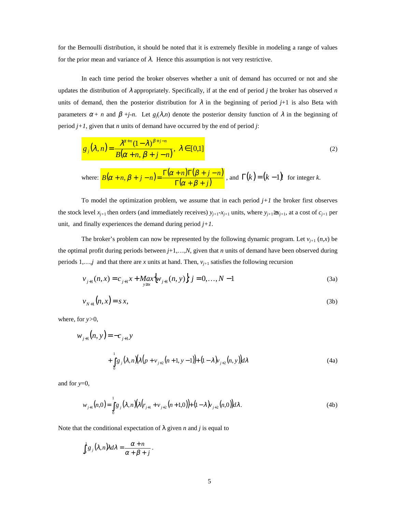for the Bernoulli distribution, it should be noted that it is extremely flexible in modeling a range of values for the prior mean and variance of  $\lambda$ . Hence this assumption is not very restrictive.

In each time period the broker observes whether a unit of demand has occurred or not and she updates the distribution of  $\lambda$  appropriately. Specifically, if at the end of period *j* the broker has observed *n* units of demand, then the posterior distribution for  $\lambda$  in the beginning of period  $j+1$  is also Beta with parameters  $\alpha + n$  and  $\beta + j - n$ . Let  $g_j(\lambda, n)$  denote the posterior density function of  $\lambda$  in the beginning of period *j+1*, given that *n* units of demand have occurred by the end of period *j*:

$$
g_j(\lambda, n) = \frac{\lambda^{\alpha+n} (1 - \lambda)^{\beta+j-n}}{B(\alpha+n, \beta+j-n)}, \lambda \in [0,1]
$$
\n<sup>(2)</sup>

where: 
$$
B(\alpha + n, \beta + j - n) = \frac{\Gamma(\alpha + n)\Gamma(\beta + j - n)}{\Gamma(\alpha + \beta + j)}
$$
, and  $\Gamma(k) = (k - 1)!$  for integer  $k$ .

To model the optimization problem, we assume that in each period *j+1* the broker first observes the stock level  $x_{j+1}$  then orders (and immediately receives)  $y_{j+1}-x_{j+1}$  units, where  $y_{j+1}\geq x_{j+1}$ , at a cost of  $c_{j+1}$  per unit, and finally experiences the demand during period  $j+1$ .

The broker's problem can now be represented by the following dynamic program. Let  $v_{i+1}$  (*n,x*) be the optimal profit during periods between *j*+1,…,*N*, given that *n* units of demand have been observed during periods  $1,...,j$  and that there are *x* units at hand. Then,  $v_{j+1}$  satisfies the following recursion

$$
v_{j+1}(n,x) = c_{j+1}x + \underset{y \ge x}{\text{Max}} \{ w_{j+1}(n,y) \} \quad j = 0, \dots, N-1 \tag{3a}
$$

$$
v_{N+1}(n,x) = sx,\tag{3b}
$$

where, for *y>*0,

$$
w_{j+1}(n, y) = -c_{j+1} y
$$
  
+  $\int_{0}^{1} g_j(\lambda, n) (\lambda (p + v_{j+2}(n+1, y-1)) + (1 - \lambda) v_{j+2}(n, y)) d\lambda$  (4a)

and for *y*=0,

$$
w_{j+1}(n,0) = \int_{0}^{1} g_j(\lambda,n) \left(\lambda \left(r_{j+1} + v_{j+2}(n+1,0)\right) + \left(1 - \lambda\right) v_{j+2}(n,0)\right) d\lambda.
$$
 (4b)

Note that the conditional expectation of  $\lambda$  given *n* and *j* is equal to

$$
\int_0^1 g_j(\lambda,n) \lambda d\lambda = \frac{\alpha+n}{\alpha+\beta+j}.
$$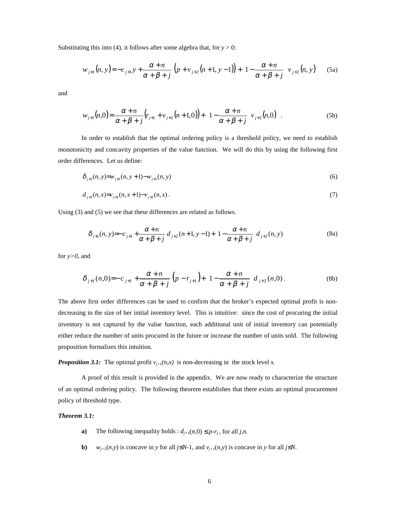Substituting this into (4), it follows after some algebra that, for  $y > 0$ :

$$
w_{j+1}(n, y) = -c_{j+1}y + \frac{\alpha + n}{\alpha + \beta + j} \left( p + v_{j+2}(n+1, y-1) \right) + \left( 1 - \frac{\alpha + n}{\alpha + \beta + j} \right) v_{j+2}(n, y) \tag{5a}
$$

and

$$
w_{j+1}(n,0) = \frac{\alpha + n}{\alpha + \beta + j} (r_{j+1} + v_{j+2}(n+1,0)) + \left(1 - \frac{\alpha + n}{\alpha + \beta + j}\right) v_{j+2}(n,0) \quad . \tag{5b}
$$

In order to establish that the optimal ordering policy is a threshold policy, we need to establish monotonicity and concavity properties of the value function. We will do this by using the following first order differences. Let us define:

$$
\delta_{j+1}(n, y) = w_{j+1}(n, y+1) - w_{j+1}(n, y) \tag{6}
$$

$$
d_{j+1}(n,x)=v_{j+1}(n,x+1)-v_{j+1}(n,x) \tag{7}
$$

Using (3) and (5) we see that these differences are related as follows.

$$
\delta_{j+1}(n, y) = -c_{j+1} + \frac{\alpha + n}{\alpha + \beta + j} d_{j+2}(n+1, y-1) + \left(1 - \frac{\alpha + n}{\alpha + \beta + j}\right) d_{j+2}(n, y) \tag{8a}
$$

for *y>0*, and

$$
\delta_{j+1}(n,0) = -c_{j+1} + \frac{\alpha + n}{\alpha + \beta + j} \left( p - r_{j+1} \right) + \left( 1 - \frac{\alpha + n}{\alpha + \beta + j} \right) d_{j+2}(n,0). \tag{8b}
$$

The above first order differences can be used to confirm that the broker's expected optimal profit is nondecreasing in the size of her initial inventory level. This is intuitive: since the cost of procuring the initial inventory is not captured by the value function, each additional unit of initial inventory can potentially either reduce the number of units procured in the future or increase the number of units sold. The following proposition formalizes this intuition.

*Proposition 3.1:* The optimal profit  $v_{j+1}(n, x)$  is non-decreasing in the stock level *x*.

A proof of this result is provided in the appendix. We are now ready to characterize the structure of an optimal ordering policy. The following theorem establishes that there exists an optimal procurement policy of threshold type.

# *Theorem 3.1:*

- **a**) The following inequality holds :  $d_{i+1}(n,0) \leq p-r_i$ , for all *j,n.*
- **b**)  $w_{i+1}(n, y)$  is concave in *y* for all *j*≤*N*-1, and  $v_{i+1}(n, y)$  is concave in *y* for all *j*≤*N*.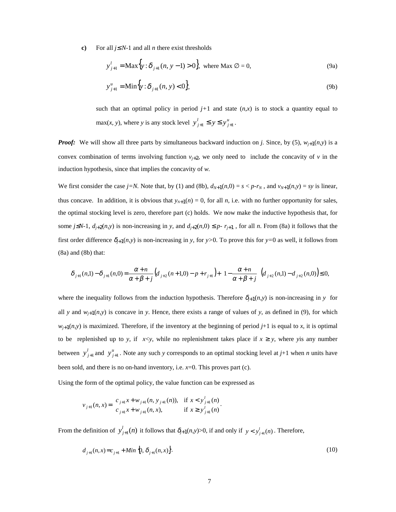**c**) For all  $j \leq N-1$  and all *n* there exist thresholds

$$
y'_{j+1} = \text{Max}\{y : \delta_{j+1}(n, y-1) > 0\}
$$
, where Max  $\emptyset = 0$ , (9a)

$$
y_{j+1}^{u} = \text{Min}\Big\{y : \delta_{j+1}(n, y) < 0\Big\},\tag{9b}
$$

such that an optimal policy in period  $j+1$  and state  $(n,x)$  is to stock a quantity equal to max(*x*, *y*), where *y* is any stock level  $y_{j+1}^l \le y \le y_{j+1}^u$ .

*Proof:* We will show all three parts by simultaneous backward induction on *j*. Since, by (5),  $w_{i+1}(n,y)$  is a convex combination of terms involving function  $v_{i+2}$ , we only need to include the concavity of  $v$  in the induction hypothesis, since that implies the concavity of *w.* 

We first consider the case *j*=*N*. Note that, by (1) and (8b),  $d_{N+1}(n,0) = s < p-r_N$ , and  $v_{N+1}(n,y) = sy$  is linear, thus concave. In addition, it is obvious that  $y_{N+1}(n) = 0$ , for all *n*, i.e. with no further opportunity for sales, the optimal stocking level is zero, therefore part (c) holds. We now make the inductive hypothesis that, for some  $j \leq N-1$ ,  $d_{j+2}(n,y)$  is non-increasing in *y*, and  $d_{j+2}(n,0) \leq p - r_{j+1}$ , for all *n*. From (8a) it follows that the first order difference  $\delta_{j+1}(n,y)$  is non-increasing in y, for y>0. To prove this for y=0 as well, it follows from (8a) and (8b) that:

$$
\delta_{j+1}(n,1) - \delta_{j+1}(n,0) = \frac{\alpha + n}{\alpha + \beta + j} \left( d_{j+2}(n+1,0) - p + r_{j+1} \right) + \left( 1 - \frac{\alpha + n}{\alpha + \beta + j} \right) \left( d_{j+2}(n,1) - d_{j+2}(n,0) \right) \le 0,
$$

where the inequality follows from the induction hypothesis. Therefore  $\delta_{j+1}(n,y)$  is non-increasing in *y* for all *y* and  $w_{i+1}(n, y)$  is concave in *y*. Hence, there exists a range of values of *y*, as defined in (9), for which  $w_{i+1}(n, y)$  is maximized. Therefore, if the inventory at the beginning of period  $j+1$  is equal to *x*, it is optimal to be replenished up to *y*, if  $x \leq y$ , while no replenishment takes place if  $x \geq y$ , where *y* is any number between  $y_{j+1}^l$  and  $y_{j+1}^u$ . Note any such *y* corresponds to an optimal stocking level at *j*+1 when *n* units have been sold, and there is no on-hand inventory, i.e. *x*=0. This proves part (c).

Using the form of the optimal policy, the value function can be expressed as

$$
v_{j+1}(n,x) = \begin{cases} c_{j+1}x + w_{j+1}(n, y_{j+1}(n)), & \text{if } x < y_{j+1}^l(n) \\ c_{j+1}x + w_{j+1}(n, x), & \text{if } x \ge y_{j+1}^l(n). \end{cases}
$$

From the definition of  $y_{j+1}^l(n)$  it follows that  $\delta_{j+1}(n,y)>0$ , if and only if  $y < y_{j+1}^l(n)$ . Therefore,

$$
d_{j+1}(n,x) = c_{j+1} + Min \{0, \delta_{j+1}(n,x)\}.
$$
 (10)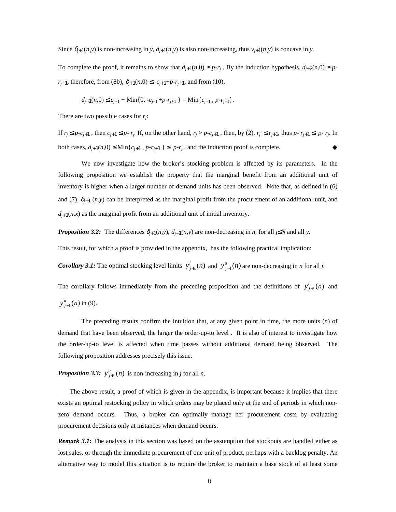Since  $\delta_{j+1}(n, y)$  is non-increasing in *y*,  $d_{j+1}(n, y)$  is also non-increasing, thus  $v_{j+1}(n, y)$  is concave in *y*.

To complete the proof, it remains to show that  $d_{i+1}(n,0) \leq p-r_i$ . By the induction hypothesis,  $d_{i+2}(n,0) \leq p-r_i$ *r*<sub>j+1</sub>, therefore, from (8b),  $\delta_{j+1}(n,0) \leq -c_{j+1} + p - r_{j+1}$ , and from (10),

$$
d_{j+1}(n,0) \leq c_{j+1} + \text{Min}\{0, -c_{j+1} + p - r_{j+1}\} = \text{Min}\{c_{j+1}, p - r_{j+1}\}.
$$

There are two possible cases for *rj*:

If  $r_j \leq p \cdot c_{j+1}$ , then  $c_{j+1} \leq p \cdot r_j$ . If, on the other hand,  $r_j > p \cdot c_{j+1}$ , then, by (2),  $r_j \leq r_{j+1}$ , thus  $p \cdot r_{j+1} \leq p \cdot r_j$ . In both cases,  $d_{j+1}(n,0) \leq \text{Min}\{c_{j+1}, p-r_{j+1}\} \leq p-r_j$ , and the induction proof is complete.  $\blacklozenge$ 

We now investigate how the broker's stocking problem is affected by its parameters. In the following proposition we establish the property that the marginal benefit from an additional unit of inventory is higher when a larger number of demand units has been observed. Note that, as defined in (6) and (7),  $\delta_{i+1}$  (*n,y*) can be interpreted as the marginal profit from the procurement of an additional unit, and  $d_{j+1}(n,x)$  as the marginal profit from an additional unit of initial inventory.

*Proposition 3.2:* The differences  $\delta_{i+1}(n,y)$ ,  $d_{i+1}(n,y)$  are non-decreasing in *n*, for all *j*≤*N* and all *y*.

This result, for which a proof is provided in the appendix, has the following practical implication:

*Corollary 3.1:* The optimal stocking level limits  $y_{j+1}^l(n)$  and  $y_{j+1}^u(n)$  are non-decreasing in *n* for all *j*.

The corollary follows immediately from the preceding proposition and the definitions of  $y_{j+1}^l(n)$  and  $y_{j+1}^{u}(n)$  in (9).

The preceding results confirm the intuition that, at any given point in time, the more units (*n*) of demand that have been observed, the larger the order-up-to level . It is also of interest to investigate how the order-up-to level is affected when time passes without additional demand being observed. The following proposition addresses precisely this issue.

*Proposition 3.3:*  $y_{j+1}^u(n)$  is non-increasing in *j* for all *n*.

 The above result, a proof of which is given in the appendix, is important because it implies that there exists an optimal restocking policy in which orders may be placed only at the end of periods in which nonzero demand occurs. Thus, a broker can optimally manage her procurement costs by evaluating procurement decisions only at instances when demand occurs.

*Remark 3.1***:** The analysis in this section was based on the assumption that stockouts are handled either as lost sales, or through the immediate procurement of one unit of product, perhaps with a backlog penalty. An alternative way to model this situation is to require the broker to maintain a base stock of at least some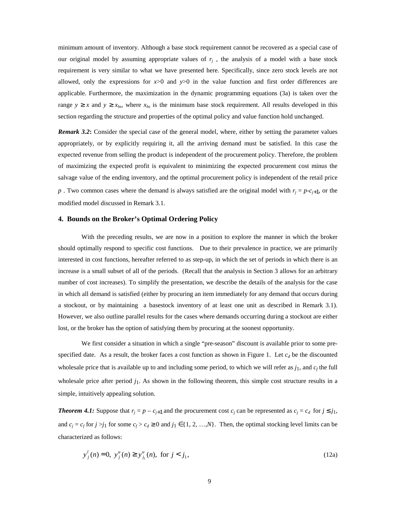minimum amount of inventory. Although a base stock requirement cannot be recovered as a special case of our original model by assuming appropriate values of  $r<sub>i</sub>$ , the analysis of a model with a base stock requirement is very similar to what we have presented here. Specifically, since zero stock levels are not allowed, only the expressions for  $x>0$  and  $y>0$  in the value function and first order differences are applicable. Furthermore, the maximization in the dynamic programming equations (3a) is taken over the range  $y \ge x$  and  $y \ge x_{bs}$ , where  $x_{bs}$  is the minimum base stock requirement. All results developed in this section regarding the structure and properties of the optimal policy and value function hold unchanged.

*Remark 3.2***:** Consider the special case of the general model, where, either by setting the parameter values appropriately, or by explicitly requiring it, all the arriving demand must be satisfied. In this case the expected revenue from selling the product is independent of the procurement policy. Therefore, the problem of maximizing the expected profit is equivalent to minimizing the expected procurement cost minus the salvage value of the ending inventory, and the optimal procurement policy is independent of the retail price *p*. Two common cases where the demand is always satisfied are the original model with  $r_i = p-c_{i+1}$ , or the modified model discussed in Remark 3.1.

# **4. Bounds on the Broker's Optimal Ordering Policy**

With the preceding results, we are now in a position to explore the manner in which the broker should optimally respond to specific cost functions. Due to their prevalence in practice, we are primarily interested in cost functions, hereafter referred to as step-up, in which the set of periods in which there is an increase is a small subset of all of the periods. (Recall that the analysis in Section 3 allows for an arbitrary number of cost increases). To simplify the presentation, we describe the details of the analysis for the case in which all demand is satisfied (either by procuring an item immediately for any demand that occurs during a stockout, or by maintaining a basestock inventory of at least one unit as described in Remark 3.1). However, we also outline parallel results for the cases where demands occurring during a stockout are either lost, or the broker has the option of satisfying them by procuring at the soonest opportunity.

We first consider a situation in which a single "pre-season" discount is available prior to some prespecified date. As a result, the broker faces a cost function as shown in Figure 1. Let  $c_d$  be the discounted wholesale price that is available up to and including some period, to which we will refer as  $j_1$ , and  $c_f$  the full wholesale price after period  $j_1$ . As shown in the following theorem, this simple cost structure results in a simple, intuitively appealing solution.

*Theorem 4.1:* Suppose that  $r_j = p - c_{j+1}$  and the procurement cost  $c_j$  can be represented as  $c_j = c_d$  for  $j \leq j_1$ , and  $c_j = c_f$  for  $j > j_1$  for some  $c_f > c_d \ge 0$  and  $j_1 \in \{1, 2, ..., N\}$ . Then, the optimal stocking level limits can be characterized as follows:

$$
y_j^l(n) = 0, y_j^u(n) \ge y_{j_1}^u(n), \text{ for } j < j_1,
$$
 (12a)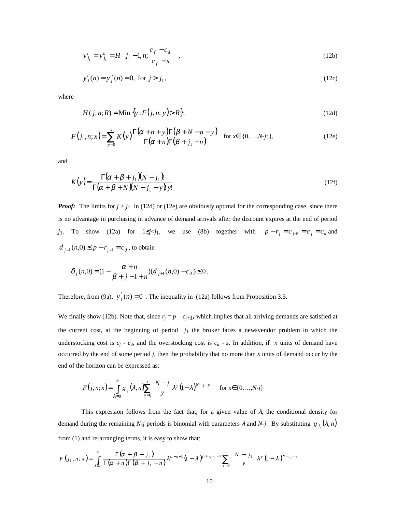$$
y_{j_1}^l = y_{j_1}^u = H\left(j_1 - 1, n; \frac{c_f - c_d}{c_f - s}\right),
$$
\n(12b)

$$
y_j^l(n) = y_j^u(n) = 0, \text{ for } j > j_1,
$$
\n(12c)

where

$$
H(j, n; R) = \text{Min} \{ y : F(j, n; y) > R \},\tag{12d}
$$

$$
F(j_1, n; x) = \sum_{y=0}^{x} K(y) \frac{\Gamma(\alpha + n + y)\Gamma(\beta + N - n - y)}{\Gamma(\alpha + n)\Gamma(\beta + j_1 - n)} \quad \text{for } x \in \{0, \dots, N - j_1\},\tag{12e}
$$

and

$$
K(y) = \frac{\Gamma(\alpha + \beta + j_1)(N - j_1)}{\Gamma(\alpha + \beta + N)(N - j_1 - y)! y!}.
$$
\n(12f)

*Proof:* The limits for  $j > j_1$  in (12d) or (12e) are obviously optimal for the corresponding case, since there is no advantage in purchasing in advance of demand arrivals after the discount expires at the end of period *j*<sub>1</sub>. To show (12a) for  $1 \le j \le j_1$ , we use (8b) together with  $p - r_j = c_{j+1} = c_j = c_d$  and  $d_{i+1}(n,0) \leq p - r_{i-1} = c_d$ , to obtain

$$
\delta_j(n,0) = (1 - \frac{\alpha + n}{\beta + j - 1 + n})(d_{j+1}(n,0) - c_d) \le 0.
$$

Therefore, from (9a),  $y_j^l(n) = 0$ . The inequality in (12a) follows from Proposition 3.3.

We finally show (12b). Note that, since  $r_j = p - c_{j+1}$ , which implies that all arriving demands are satisfied at the current cost, at the beginning of period  $j_1$  the broker faces a newsvendor problem in which the understocking cost is  $c_f$  -  $c_d$ , and the overstocking cost is  $c_d$  - *s*. In addition, if *n* units of demand have occurred by the end of some period  $j$ , then the probability that no more than  $x$  units of demand occur by the end of the horizon can be expressed as:

$$
F(j,n;x) = \int_{\lambda=0}^{\infty} g_j(\lambda,n) \sum_{y=0}^{x} {N-j \choose y} k^y (1-\lambda)^{N-j-y} \quad \text{for } x \in \{0,\dots,N-j\}
$$

This expression follows from the fact that, for a given value of  $\lambda$ , the conditional density for demand during the remaining *N-j* periods is binomial with parameters  $\lambda$  and *N-j*. By substituting  $g_{j_1}(\lambda, n)$ from (1) and re-arranging terms, it is easy to show that:

$$
F(j_1,n;x)=\int_{\lambda=0}^{\infty}\frac{\Gamma(\alpha+\beta+j_1)}{\Gamma(\alpha+n)\Gamma(\beta+j_1-n)}\lambda^{\alpha+n-1}(1-\lambda)^{\beta+j_1-n-1}\sum_{y=0}^x\binom{N-j_1}{y}\lambda^y(1-\lambda)^{N-j_1-y}
$$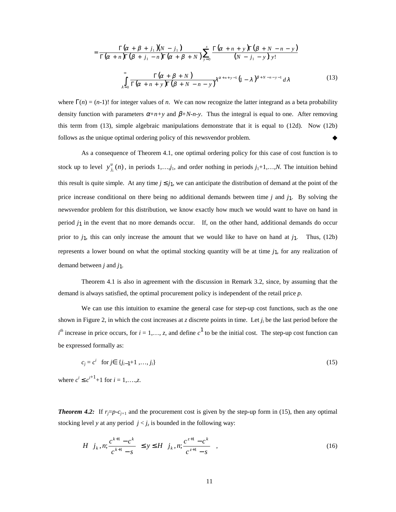$$
= \frac{\Gamma\left(\alpha + \beta + j_1\right)(N - j_1)}{\Gamma\left(\alpha + n\right)\Gamma\left(\beta + j_1 - n\right)\Gamma\left(\alpha + \beta + N\right)} \sum_{y=0}^{x} \frac{\Gamma\left(\alpha + n + y\right)\Gamma\left(\beta + N - n - y\right)}{\left(N - j_1 - y\right)y!}
$$

$$
\int_{\lambda=0}^{\infty} \frac{\Gamma\left(\alpha + \beta + N\right)}{\Gamma\left(\alpha + n + y\right)\Gamma\left(\beta + N - n - y\right)} \lambda^{\alpha + n + y - 1} \left(1 - \lambda\right)^{\beta + N - n - y - 1} d\lambda \tag{13}
$$

where  $\Gamma(n) = (n-1)!$  for integer values of *n*. We can now recognize the latter integrand as a beta probability density function with parameters  $\alpha+n+y$  and  $\beta+N-n-y$ . Thus the integral is equal to one. After removing this term from (13), simple algebraic manipulations demonstrate that it is equal to (12d). Now (12b) follows as the unique optimal ordering policy of this newsvendor problem.

As a consequence of Theorem 4.1, one optimal ordering policy for this case of cost function is to stock up to level  $y_{j_1}^u(n)$ , in periods 1,…, $j_1$ , and order nothing in periods  $j_1+1,...,N$ . The intuition behind this result is quite simple. At any time  $j \leq j_1$ , we can anticipate the distribution of demand at the point of the price increase conditional on there being no additional demands between time *j* and *j*1. By solving the newsvendor problem for this distribution, we know exactly how much we would want to have on hand in period *j*1 in the event that no more demands occur. If, on the other hand, additional demands do occur prior to  $j_1$ , this can only increase the amount that we would like to have on hand at  $j_1$ . Thus, (12b) represents a lower bound on what the optimal stocking quantity will be at time *j*1, for any realization of demand between *j* and *j*1.

Theorem 4.1 is also in agreement with the discussion in Remark 3.2, since, by assuming that the demand is always satisfied, the optimal procurement policy is independent of the retail price *p*.

We can use this intuition to examine the general case for step-up cost functions, such as the one shown in Figure 2, in which the cost increases at *z* discrete points in time. Let  $j_i$  be the last period before the  $i<sup>th</sup>$  increase in price occurs, for  $i = 1, \ldots, z$ , and define  $c<sup>1</sup>$  to be the initial cost. The step-up cost function can be expressed formally as:

$$
c_j = c^i \text{ for } j \in \{j_{i-1}+1, ..., j_i\}
$$
 (15)

where  $c^i \leq c^{i+1}+1$  for  $i = 1, \ldots, z$ .

**Theorem 4.2:** If  $r_j = p - c_{j+1}$  and the procurement cost is given by the step-up form in (15), then any optimal stocking level *y* at any period  $j < j_z$  is bounded in the following way:

$$
H\left(j_k, n; \frac{c^{k+1} - c^k}{c^{k+1} - s}\right) \le y \le H\left(j_k, n; \frac{c^{z+1} - c^k}{c^{z+1} - s}\right),\tag{16}
$$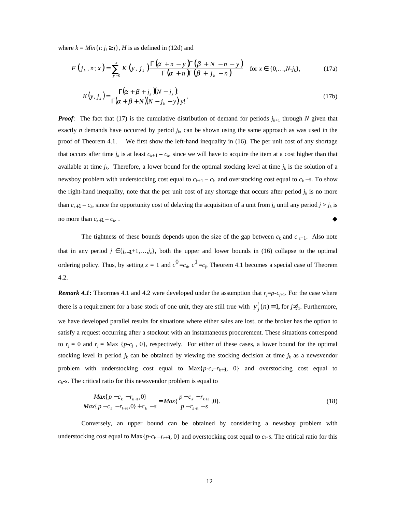where  $k = Min\{i : j_i \geq j\}$ , *H* is as defined in (12d) and

$$
F(j_k, n; x) = \sum_{y=0}^{x} K(y, j_k) \frac{\Gamma(\alpha + n - y) \Gamma(\beta + N - n - y)}{\Gamma(\alpha + n) \Gamma(\beta + j_k - n)} \quad \text{for } x \in \{0, \dots, N - j_k\},\tag{17a}
$$

$$
K(y, j_k) = \frac{\Gamma(\alpha + \beta + j_k)(N - j_k)}{\Gamma(\alpha + \beta + N)(N - j_k - y) y!},
$$
\n(17b)

*Proof*: The fact that (17) is the cumulative distribution of demand for periods  $j_{k+1}$  through N given that exactly *n* demands have occurred by period  $j_k$ , can be shown using the same approach as was used in the proof of Theorem 4.1. We first show the left-hand inequality in (16). The per unit cost of any shortage that occurs after time  $j_k$  is at least  $c_{k+1} - c_k$ , since we will have to acquire the item at a cost higher than that available at time  $j_k$ . Therefore, a lower bound for the optimal stocking level at time  $j_k$  is the solution of a newsboy problem with understocking cost equal to  $c_{k+1} - c_k$  and overstocking cost equal to  $c_k$  –*s*. To show the right-hand inequality, note that the per unit cost of any shortage that occurs after period  $j_k$  is no more than  $c_{z+1} - c_k$ , since the opportunity cost of delaying the acquisition of a unit from  $j_k$  until any period  $j > j_k$  is no more than  $c_{z+1} - c_k$ .

The tightness of these bounds depends upon the size of the gap between  $c_k$  and  $c_{z+1}$ . Also note that in any period  $j \in \{j_{z-1}+1,\ldots,j_z\}$ , both the upper and lower bounds in (16) collapse to the optimal ordering policy. Thus, by setting  $z = 1$  and  $c^0 = c_d$ ,  $c^1 = c_f$ , Theorem 4.1 becomes a special case of Theorem 4.2.

*Remark 4.1*: Theormes 4.1 and 4.2 were developed under the assumption that  $r_j = p-c_{j+1}$ . For the case where there is a requirement for a base stock of one unit, they are still true with  $y_j^l(n) = 1$ , for  $j \neq j_1$ . Furthermore, we have developed parallel results for situations where either sales are lost, or the broker has the option to satisfy a request occurring after a stockout with an instantaneous procurement. These situations correspond to  $r_j = 0$  and  $r_j = \text{Max } \{p-c_j, 0\}$ , respectively. For either of these cases, a lower bound for the optimal stocking level in period  $j_k$  can be obtained by viewing the stocking decision at time  $j_k$  as a newsvendor problem with understocking cost equal to  $Max\{p-c_k-r_{k+1}, 0\}$  and overstocking cost equal to  $c_k$ -s. The critical ratio for this newsvendor problem is equal to

$$
\frac{Max\{p-c_k - r_{k+1}, 0\}}{Max\{p-c_k - r_{k+1}, 0\} + c_k - s} = Max\{\frac{p-c_k - r_{k+1}}{p-r_{k+1} - s}, 0\}.
$$
\n(18)

Conversely, an upper bound can be obtained by considering a newsboy problem with understocking cost equal to  $Max\{p-c_k-r_{z+1}, 0\}$  and overstocking cost equal to  $c_k$ -s. The critical ratio for this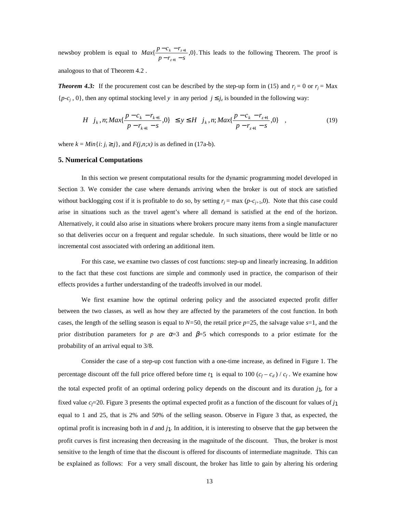newsboy problem is equal to  $Max\{\frac{P-c_k}{r-1},0\}.$ 1 1  $Max\{\frac{p-c_k-r_{z+1}}{p-r_{z+1}-s}\}$ *z*  $k - z$  $-r_{7+1}$  –  $-c_k$  – +  $+1$ , 0. This leads to the following Theorem. The proof is analogous to that of Theorem 4.2 .

*Theorem 4.3:* If the procurement cost can be described by the step-up form in (15) and  $r_i = 0$  or  $r_i =$  Max  ${p-c_j, 0}$ , then any optimal stocking level *y* in any period  $j \leq j_z$  is bounded in the following way:

$$
H\left(j_k, n; \text{Max}\{\frac{p-c_k-r_{k+1}}{p-r_{k+1}-s}, 0\}\right) \le y \le H\left(j_k, n; \text{Max}\{\frac{p-c_k-r_{z+1}}{p-r_{z+1}-s}, 0\}\right),\tag{19}
$$

where  $k = Min\{i: j_i \geq j\}$ , and  $F(j, n; x)$  is as defined in (17a-b).

# **5. Numerical Computations**

In this section we present computational results for the dynamic programming model developed in Section 3. We consider the case where demands arriving when the broker is out of stock are satisfied without backlogging cost if it is profitable to do so, by setting  $r_i = \max (p-c_{i+1}, 0)$ . Note that this case could arise in situations such as the travel agent's where all demand is satisfied at the end of the horizon. Alternatively, it could also arise in situations where brokers procure many items from a single manufacturer so that deliveries occur on a frequent and regular schedule. In such situations, there would be little or no incremental cost associated with ordering an additional item.

For this case, we examine two classes of cost functions: step-up and linearly increasing. In addition to the fact that these cost functions are simple and commonly used in practice, the comparison of their effects provides a further understanding of the tradeoffs involved in our model.

We first examine how the optimal ordering policy and the associated expected profit differ between the two classes, as well as how they are affected by the parameters of the cost function. In both cases, the length of the selling season is equal to *N=*50, the retail price *p*=25, the salvage value *s*=1, and the prior distribution parameters for *p* are  $\alpha=3$  and  $\beta=5$  which corresponds to a prior estimate for the probability of an arrival equal to 3/8.

Consider the case of a step-up cost function with a one-time increase, as defined in Figure 1. The percentage discount off the full price offered before time  $t_1$  is equal to 100 ( $c_f - c_d$ ) /  $c_f$ . We examine how the total expected profit of an optimal ordering policy depends on the discount and its duration *j*1, for a fixed value  $c_f$ =20. Figure 3 presents the optimal expected profit as a function of the discount for values of  $j_1$ equal to 1 and 25, that is 2% and 50% of the selling season. Observe in Figure 3 that, as expected, the optimal profit is increasing both in  $d$  and  $j_1$ . In addition, it is interesting to observe that the gap between the profit curves is first increasing then decreasing in the magnitude of the discount. Thus, the broker is most sensitive to the length of time that the discount is offered for discounts of intermediate magnitude. This can be explained as follows: For a very small discount, the broker has little to gain by altering his ordering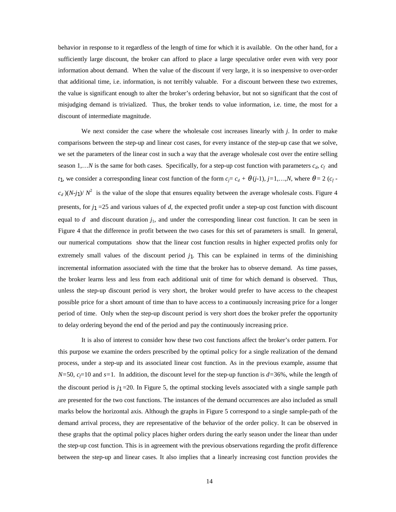behavior in response to it regardless of the length of time for which it is available. On the other hand, for a sufficiently large discount, the broker can afford to place a large speculative order even with very poor information about demand. When the value of the discount if very large, it is so inexpensive to over-order that additional time, i.e. information, is not terribly valuable. For a discount between these two extremes, the value is significant enough to alter the broker's ordering behavior, but not so significant that the cost of misjudging demand is trivialized. Thus, the broker tends to value information, i.e. time, the most for a discount of intermediate magnitude.

We next consider the case where the wholesale cost increases linearly with *j*. In order to make comparisons between the step-up and linear cost cases, for every instance of the step-up case that we solve, we set the parameters of the linear cost in such a way that the average wholesale cost over the entire selling season 1,…*N* is the same for both cases. Specifically, for a step-up cost function with parameters  $c_d$ ,  $c_f$  and *t*<sub>1</sub>, we consider a corresponding linear cost function of the form  $c_j = c_d + \theta (j-1)$ ,  $j=1,...,N$ , where  $\theta = 2$  ( $c_f$   $c_d$  )(*N-j*<sub>1</sub>)/  $N^2$  is the value of the slope that ensures equality between the average wholesale costs. Figure 4 presents, for *j*1 =25 and various values of *d,* the expected profit under a step-up cost function with discount equal to  $d$  and discount duration  $j_1$ , and under the corresponding linear cost function. It can be seen in Figure 4 that the difference in profit between the two cases for this set of parameters is small. In general, our numerical computations show that the linear cost function results in higher expected profits only for extremely small values of the discount period *j*1. This can be explained in terms of the diminishing incremental information associated with the time that the broker has to observe demand. As time passes, the broker learns less and less from each additional unit of time for which demand is observed. Thus, unless the step-up discount period is very short, the broker would prefer to have access to the cheapest possible price for a short amount of time than to have access to a continuously increasing price for a longer period of time. Only when the step-up discount period is very short does the broker prefer the opportunity to delay ordering beyond the end of the period and pay the continuously increasing price.

It is also of interest to consider how these two cost functions affect the broker's order pattern. For this purpose we examine the orders prescribed by the optimal policy for a single realization of the demand process, under a step-up and its associated linear cost function. As in the previous example, assume that *N*=50,  $c_f$ =10 and *s*=1. In addition, the discount level for the step-up function is  $d=36\%$ , while the length of the discount period is  $j_1 = 20$ . In Figure 5, the optimal stocking levels associated with a single sample path are presented for the two cost functions. The instances of the demand occurrences are also included as small marks below the horizontal axis. Although the graphs in Figure 5 correspond to a single sample-path of the demand arrival process, they are representative of the behavior of the order policy. It can be observed in these graphs that the optimal policy places higher orders during the early season under the linear than under the step-up cost function. This is in agreement with the previous observations regarding the profit difference between the step-up and linear cases. It also implies that a linearly increasing cost function provides the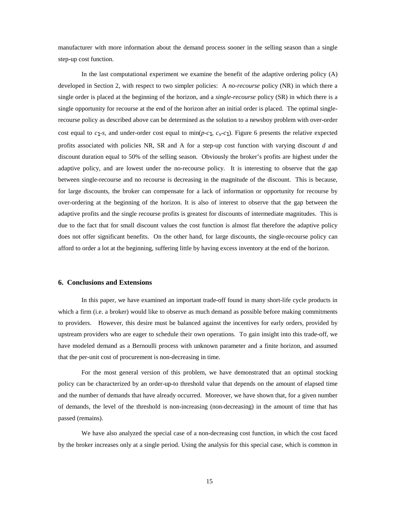manufacturer with more information about the demand process sooner in the selling season than a single step-up cost function.

In the last computational experiment we examine the benefit of the adaptive ordering policy (A) developed in Section 2, with respect to two simpler policies: A *no-recourse* policy (NR) in which there a single order is placed at the beginning of the horizon, and a *single-recourse* policy (SR) in which there is a single opportunity for recourse at the end of the horizon after an initial order is placed. The optimal singlerecourse policy as described above can be determined as the solution to a newsboy problem with over-order cost equal to  $c_1$ -*s*, and under-order cost equal to min( $p$ - $c_1$ ,  $c_N$ - $c_1$ ). Figure 6 presents the relative expected profits associated with policies NR, SR and A for a step-up cost function with varying discount *d* and discount duration equal to 50% of the selling season. Obviously the broker's profits are highest under the adaptive policy, and are lowest under the no-recourse policy. It is interesting to observe that the gap between single-recourse and no recourse is decreasing in the magnitude of the discount. This is because, for large discounts, the broker can compensate for a lack of information or opportunity for recourse by over-ordering at the beginning of the horizon. It is also of interest to observe that the gap between the adaptive profits and the single recourse profits is greatest for discounts of intermediate magnitudes. This is due to the fact that for small discount values the cost function is almost flat therefore the adaptive policy does not offer significant benefits. On the other hand, for large discounts, the single-recourse policy can afford to order a lot at the beginning, suffering little by having excess inventory at the end of the horizon.

#### **6. Conclusions and Extensions**

In this paper, we have examined an important trade-off found in many short-life cycle products in which a firm (i.e. a broker) would like to observe as much demand as possible before making commitments to providers. However, this desire must be balanced against the incentives for early orders, provided by upstream providers who are eager to schedule their own operations. To gain insight into this trade-off, we have modeled demand as a Bernoulli process with unknown parameter and a finite horizon, and assumed that the per-unit cost of procurement is non-decreasing in time.

For the most general version of this problem, we have demonstrated that an optimal stocking policy can be characterized by an order-up-to threshold value that depends on the amount of elapsed time and the number of demands that have already occurred. Moreover, we have shown that, for a given number of demands, the level of the threshold is non-increasing (non-decreasing) in the amount of time that has passed (remains).

We have also analyzed the special case of a non-decreasing cost function, in which the cost faced by the broker increases only at a single period. Using the analysis for this special case, which is common in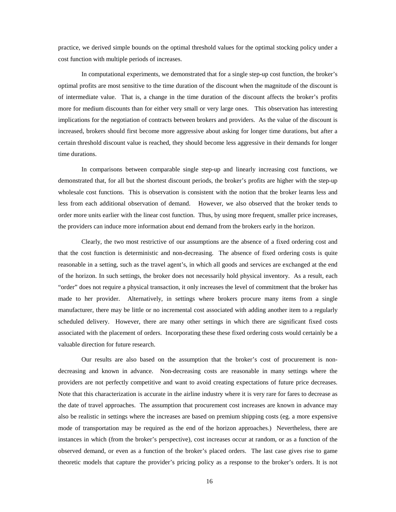practice, we derived simple bounds on the optimal threshold values for the optimal stocking policy under a cost function with multiple periods of increases.

In computational experiments, we demonstrated that for a single step-up cost function, the broker's optimal profits are most sensitive to the time duration of the discount when the magnitude of the discount is of intermediate value. That is, a change in the time duration of the discount affects the broker's profits more for medium discounts than for either very small or very large ones. This observation has interesting implications for the negotiation of contracts between brokers and providers. As the value of the discount is increased, brokers should first become more aggressive about asking for longer time durations, but after a certain threshold discount value is reached, they should become less aggressive in their demands for longer time durations.

In comparisons between comparable single step-up and linearly increasing cost functions, we demonstrated that, for all but the shortest discount periods, the broker's profits are higher with the step-up wholesale cost functions. This is observation is consistent with the notion that the broker learns less and less from each additional observation of demand. However, we also observed that the broker tends to order more units earlier with the linear cost function. Thus, by using more frequent, smaller price increases, the providers can induce more information about end demand from the brokers early in the horizon.

Clearly, the two most restrictive of our assumptions are the absence of a fixed ordering cost and that the cost function is deterministic and non-decreasing. The absence of fixed ordering costs is quite reasonable in a setting, such as the travel agent's, in which all goods and services are exchanged at the end of the horizon. In such settings, the broker does not necessarily hold physical inventory. As a result, each "order" does not require a physical transaction, it only increases the level of commitment that the broker has made to her provider. Alternatively, in settings where brokers procure many items from a single manufacturer, there may be little or no incremental cost associated with adding another item to a regularly scheduled delivery. However, there are many other settings in which there are significant fixed costs associated with the placement of orders. Incorporating these these fixed ordering costs would certainly be a valuable direction for future research.

Our results are also based on the assumption that the broker's cost of procurement is nondecreasing and known in advance. Non-decreasing costs are reasonable in many settings where the providers are not perfectly competitive and want to avoid creating expectations of future price decreases. Note that this characterization is accurate in the airline industry where it is very rare for fares to decrease as the date of travel approaches. The assumption that procurement cost increases are known in advance may also be realistic in settings where the increases are based on premium shipping costs (eg. a more expensive mode of transportation may be required as the end of the horizon approaches.) Nevertheless, there are instances in which (from the broker's perspective), cost increases occur at random, or as a function of the observed demand, or even as a function of the broker's placed orders. The last case gives rise to game theoretic models that capture the provider's pricing policy as a response to the broker's orders. It is not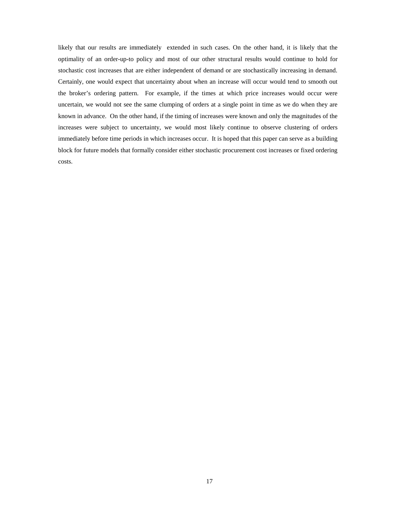likely that our results are immediately extended in such cases. On the other hand, it is likely that the optimality of an order-up-to policy and most of our other structural results would continue to hold for stochastic cost increases that are either independent of demand or are stochastically increasing in demand. Certainly, one would expect that uncertainty about when an increase will occur would tend to smooth out the broker's ordering pattern. For example, if the times at which price increases would occur were uncertain, we would not see the same clumping of orders at a single point in time as we do when they are known in advance. On the other hand, if the timing of increases were known and only the magnitudes of the increases were subject to uncertainty, we would most likely continue to observe clustering of orders immediately before time periods in which increases occur. It is hoped that this paper can serve as a building block for future models that formally consider either stochastic procurement cost increases or fixed ordering costs.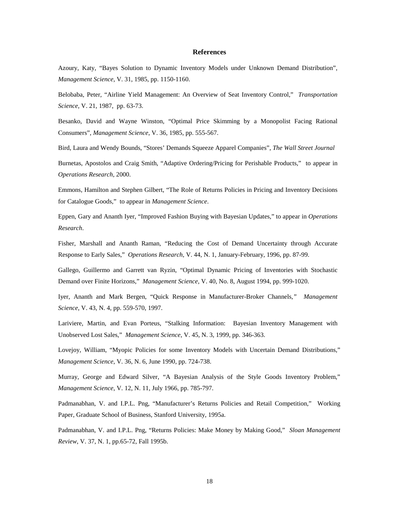#### **References**

Azoury, Katy, "Bayes Solution to Dynamic Inventory Models under Unknown Demand Distribution", *Management Science,* V. 31, 1985, pp. 1150-1160.

Belobaba, Peter, "Airline Yield Management: An Overview of Seat Inventory Control," *Transportation Science*, V. 21, 1987, pp. 63-73.

Besanko, David and Wayne Winston, "Optimal Price Skimming by a Monopolist Facing Rational Consumers", *Management Science*, V. 36, 1985, pp. 555-567.

Bird, Laura and Wendy Bounds, "Stores' Demands Squeeze Apparel Companies", *The Wall Street Journal*

Burnetas, Apostolos and Craig Smith, "Adaptive Ordering/Pricing for Perishable Products," to appear in *Operations Research*, 2000.

Emmons, Hamilton and Stephen Gilbert, "The Role of Returns Policies in Pricing and Inventory Decisions for Catalogue Goods," to appear in *Management Science*.

Eppen, Gary and Ananth Iyer, "Improved Fashion Buying with Bayesian Updates," to appear in *Operations Research*.

Fisher, Marshall and Ananth Raman, "Reducing the Cost of Demand Uncertainty through Accurate Response to Early Sales," *Operations Research*, V. 44, N. 1, January-February, 1996, pp. 87-99.

Gallego, Guillermo and Garrett van Ryzin, "Optimal Dynamic Pricing of Inventories with Stochastic Demand over Finite Horizons," *Management Science*, V. 40, No. 8, August 1994, pp. 999-1020.

Iyer, Ananth and Mark Bergen, "Quick Response in Manufacturer-Broker Channels*," Management Science*, V. 43, N. 4, pp. 559-570, 1997.

Lariviere, Martin, and Evan Porteus, "Stalking Information: Bayesian Inventory Management with Unobserved Lost Sales," *Management Science*, V. 45, N. 3, 1999, pp. 346-363.

Lovejoy, William, "Myopic Policies for some Inventory Models with Uncertain Demand Distributions," *Management Science*, V. 36, N. 6, June 1990, pp. 724-738.

Murray, George and Edward Silver, "A Bayesian Analysis of the Style Goods Inventory Problem," *Management Science*, V. 12, N. 11, July 1966, pp. 785-797.

Padmanabhan, V. and I.P.L. Png, "Manufacturer's Returns Policies and Retail Competition," Working Paper, Graduate School of Business, Stanford University, 1995a.

Padmanabhan, V. and I.P.L. Png, "Returns Policies: Make Money by Making Good," *Sloan Management Review*, V. 37, N. 1, pp.65-72, Fall 1995b.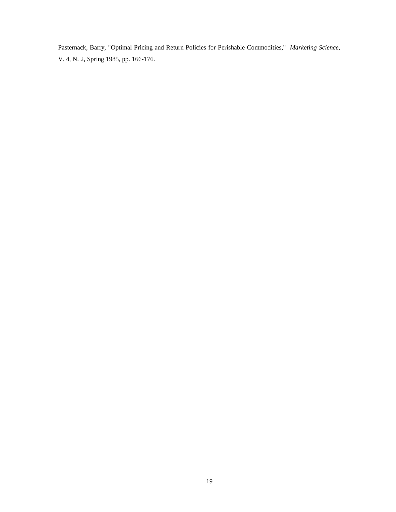Pasternack, Barry, "Optimal Pricing and Return Policies for Perishable Commodities," *Marketing Science*, V. 4, N. 2, Spring 1985, pp. 166-176.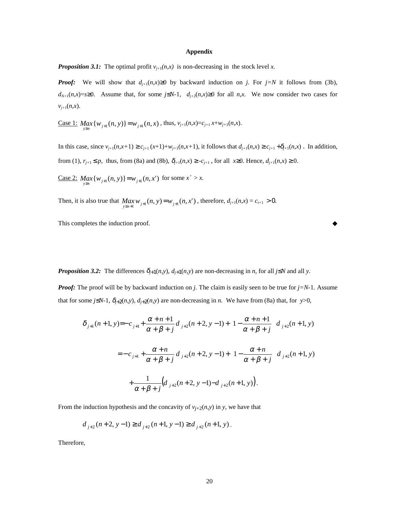#### **Appendix**

*Proposition 3.1:* The optimal profit  $v_{j+1}(n,x)$  is non-decreasing in the stock level *x*.

*Proof:* We will show that  $d_{j+1}(n,x) \ge 0$  by backward induction on *j*. For  $j=N$  it follows from (3b), *d<sub>N+1</sub>*(*n*,*x*)=*s*≥0. Assume that, for some *j*≤*N*-1, *d<sub>i+2</sub>*(*n*,*x*)≥0 for all *n*,*x*. We now consider two cases for *vj+*1(*n*,*x*).

Case 1: 
$$
Max\{w_{j+1}(n, y)\} = w_{j+1}(n, x)
$$
, thus,  $v_{j+1}(n, x) = c_{j+1} x + w_{j+1}(n, x)$ .

In this case, since  $v_{j+1}(n,x+1) \ge c_{j+1}(x+1)+w_{j+1}(n,x+1)$ , it follows that  $d_{j+1}(n,x) \ge c_{j+1} + \delta_{j+1}(n,x)$ . In addition, from (1),  $r_{j+1} \leq p$ , thus, from (8a) and (8b),  $\delta_{j+1}(n,x) \geq -c_{j+1}$ , for all  $x \geq 0$ . Hence,  $d_{j+1}(n,x) \geq 0$ .

 $\frac{\text{Case 2: } Max \{ w_{j+1}(n, y) \} = w_{j+1}(n, x') \text{ for some } x' > x.}$ 

Then, it is also true that  $\lim_{y \ge x+1} (n, y) = w_{j+1}(n, x')$ , therefore,  $d_{j+1}(n, x) = c_{t+1} > 0$ .

This completes the induction proof.

*Proposition 3.2:* The differences  $\delta_{j+1}(n,y)$ ,  $d_{j+1}(n,y)$  are non-decreasing in *n*, for all *j*≤*N* and all *y*.

*Proof:* The proof will be by backward induction on *j*. The claim is easily seen to be true for  $j=N-1$ . Assume that for some *j*≤*N*-1,  $\delta_{j+2}(n,y)$ ,  $d_{j+2}(n,y)$  are non-decreasing in *n*. We have from (8a) that, for *y*>0,

$$
\delta_{j+1}(n+1, y) = -c_{j+1} + \frac{\alpha + n + 1}{\alpha + \beta + j} d_{j+2}(n+2, y-1) + \left(1 - \frac{\alpha + n + 1}{\alpha + \beta + j}\right) d_{j+2}(n+1, y)
$$
  

$$
= -c_{j+1} + \frac{\alpha + n}{\alpha + \beta + j} d_{j+2}(n+2, y-1) + \left(1 - \frac{\alpha + n}{\alpha + \beta + j}\right) d_{j+2}(n+1, y)
$$
  

$$
+ \frac{1}{\alpha + \beta + j} (d_{j+2}(n+2, y-1) - d_{j+2}(n+1, y)).
$$

From the induction hypothesis and the concavity of  $v_{i+2}(n, y)$  in *y*, we have that

 $d_{i+2}$   $(n+2, y-1) \ge d_{i+2}$   $(n+1, y-1) \ge d_{i+2}$   $(n+1, y)$ .

Therefore,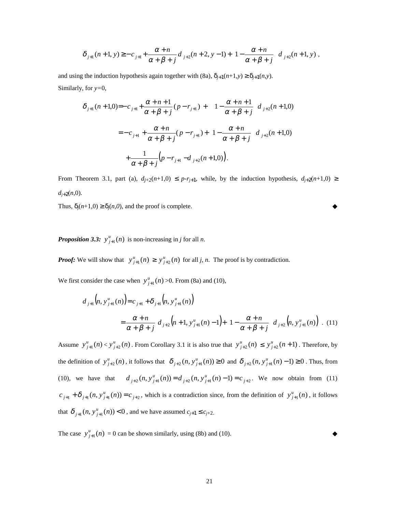$$
\delta_{j+1}(n+1, y) \geq -c_{j+1} + \frac{\alpha + n}{\alpha + \beta + j} d_{j+2}(n+2, y-1) + \left(1 - \frac{\alpha + n}{\alpha + \beta + j}\right) d_{j+2}(n+1, y) ,
$$

and using the induction hypothesis again together with (8a),  $\delta_{j+1}(n+1,y) \ge \delta_{j+1}(n,y)$ . Similarly, for *y=*0,

$$
\delta_{j+1}(n+1,0) = -c_{j+1} + \frac{\alpha + n + 1}{\alpha + \beta + j}(p - r_{j+1}) + \left(1 - \frac{\alpha + n + 1}{\alpha + \beta + j}\right)d_{j+2}(n+1,0)
$$
  

$$
= -c_{j+1} + \frac{\alpha + n}{\alpha + \beta + j}(p - r_{j+1}) + \left(1 - \frac{\alpha + n}{\alpha + \beta + j}\right)d_{j+2}(n+1,0)
$$
  

$$
+ \frac{1}{\alpha + \beta + j}(p - r_{j+1} - d_{j+2}(n+1,0)).
$$

From Theorem 3.1, part (a),  $d_{j+2}(n+1,0) \leq p-r_{j+1}$ , while, by the induction hypothesis,  $d_{j+2}(n+1,0) \geq$  $d_{j+2}(n,0)$ .

Thus,  $\delta_i(n+1,0) \geq \delta_i(n,0)$ , and the proof is complete.

*Proposition 3.3:*  $y_{j+1}^u(n)$  is non-increasing in *j* for all *n*.

*Proof:* We will show that  $y_{j+1}^u(n) \geq y_{j+2}^u(n)$  for all *j, n*. The proof is by contradiction.

We first consider the case when  $y_{j+1}^u(n) > 0$ . From (8a) and (10),

$$
d_{j+1}(n, y_{j+1}^u(n)) = c_{j+1} + \delta_{j+1}(n, y_{j+1}^u(n))
$$
  
= 
$$
\frac{\alpha + n}{\alpha + \beta + j} d_{j+2}(n+1, y_{j+1}^u(n) - 1) + \left(1 - \frac{\alpha + n}{\alpha + \beta + j}\right) d_{j+2}(n, y_{j+1}^u(n))
$$
 (11)

Assume  $y_{j+1}^u(n) < y_{j+2}^u(n)$ . From Corollary 3.1 it is also true that  $y_{j+2}^u(n) \leq y_{j+2}^u(n+1)$ . Therefore, by the definition of  $y_{j+2}^u(n)$ , it follows that  $\delta_{j+2}(n, y_{j+1}^u(n)) \ge 0$  and  $\delta_{j+2}(n, y_{j+1}^u(n) - 1) \ge 0$ . Thus, from (10), we have that  $d_{j+2}(n, y_{j+1}^u(n)) = d_{j+2}(n, y_{j+1}^u(n) - 1) = c_{j+2}$ . We now obtain from (11)  $c_{j+1} + \delta_{j+1}(n, y_{j+1}^u(n)) = c_{j+2}$ , which is a contradiction since, from the definition of  $y_{j+1}^u(n)$ , it follows that  $\delta_{j+1} (n, y_{j+1}^u(n)) < 0$ , and we have assumed  $c_{j+1} \le c_{j+2}$ .

The case  $y_{j+1}^u(n) = 0$  can be shown similarly, using (8b) and (10).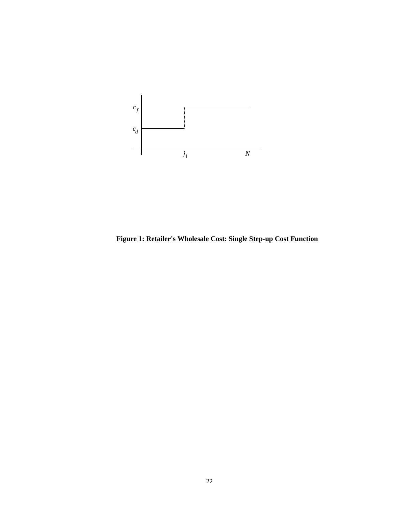

**Figure 1: Retailer's Wholesale Cost: Single Step-up Cost Function**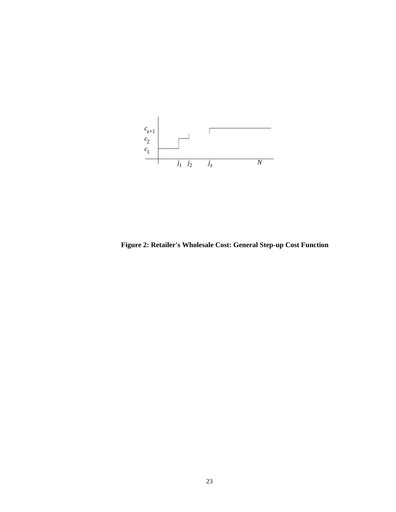

**Figure 2: Retailer's Wholesale Cost: General Step-up Cost Function**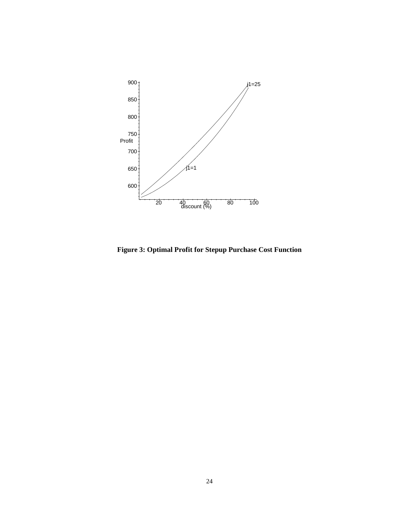

**Figure 3: Optimal Profit for Stepup Purchase Cost Function**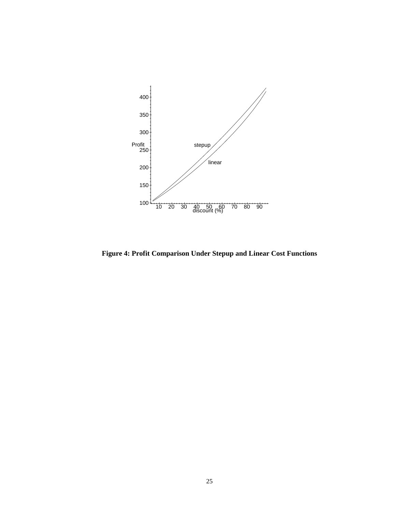

**Figure 4: Profit Comparison Under Stepup and Linear Cost Functions**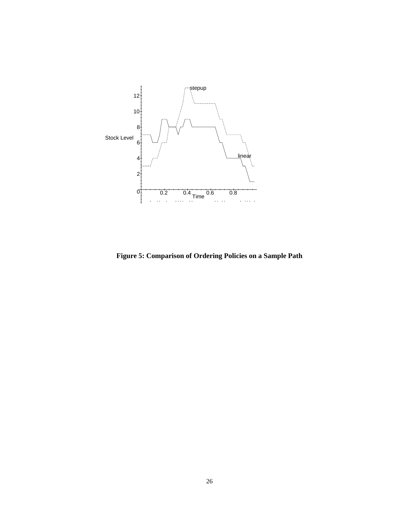

**Figure 5: Comparison of Ordering Policies on a Sample Path**